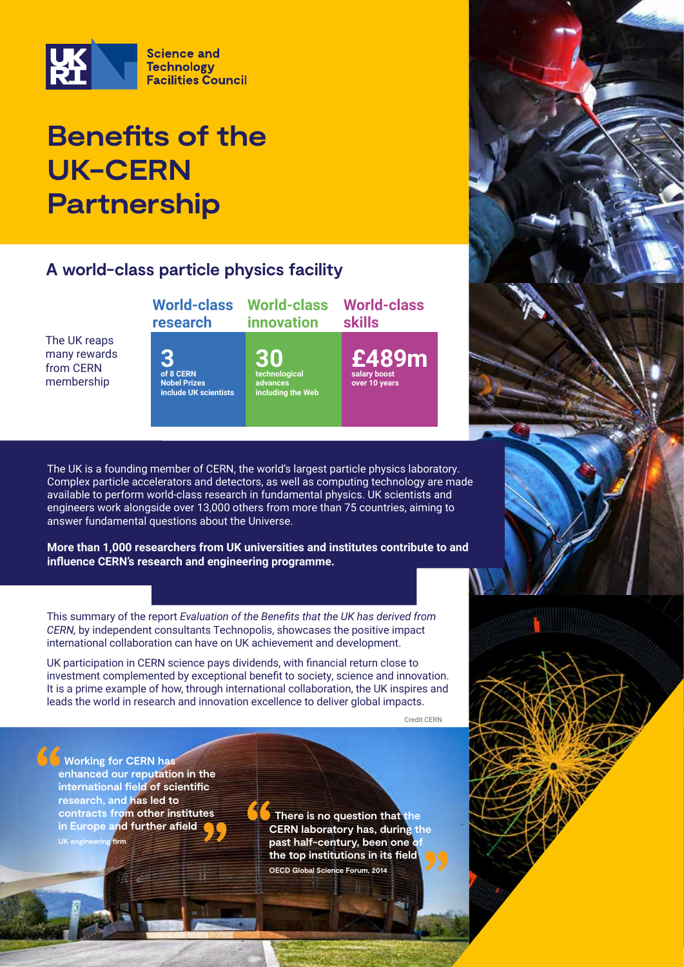

## **Benefits of the UK-CERN Partnership**

### **A world-class particle physics facility**

**World-class research**

The UK reaps many rewards from CERN membership

**3 of 8 CERN Nobel Prizes include UK scientists**

**30 technological advances including the Web**

**World-class innovation**

> **£489m salary boost over 10 years**

**World-class** 

**skills**

The UK is a founding member of CERN, the world's largest particle physics laboratory. Complex particle accelerators and detectors, as well as computing technology are made available to perform world-class research in fundamental physics. UK scientists and engineers work alongside over 13,000 others from more than 75 countries, aiming to answer fundamental questions about the Universe.

**More than 1,000 researchers from UK universities and institutes contribute to and influence CERN's research and engineering programme.**

This summary of the report *Evaluation of the Benefits that the UK has derived from CERN,* by independent consultants Technopolis, showcases the positive impact international collaboration can have on UK achievement and development.

UK participation in CERN science pays dividends, with financial return close to investment complemented by exceptional benefit to society, science and innovation. It is a prime example of how, through international collaboration, the UK inspires and leads the world in research and innovation excellence to deliver global impacts.

Credit CERN

 **Working for CERN has enhanced our reputation in the international field of scientific research, and has led to contracts from other institutes in Europe and further afield UK engineering firm**

**There is no question that the CERN laboratory has, during the**  past half-century, been one o **the top institutions in its field OECD Global Science Forum, 2014**

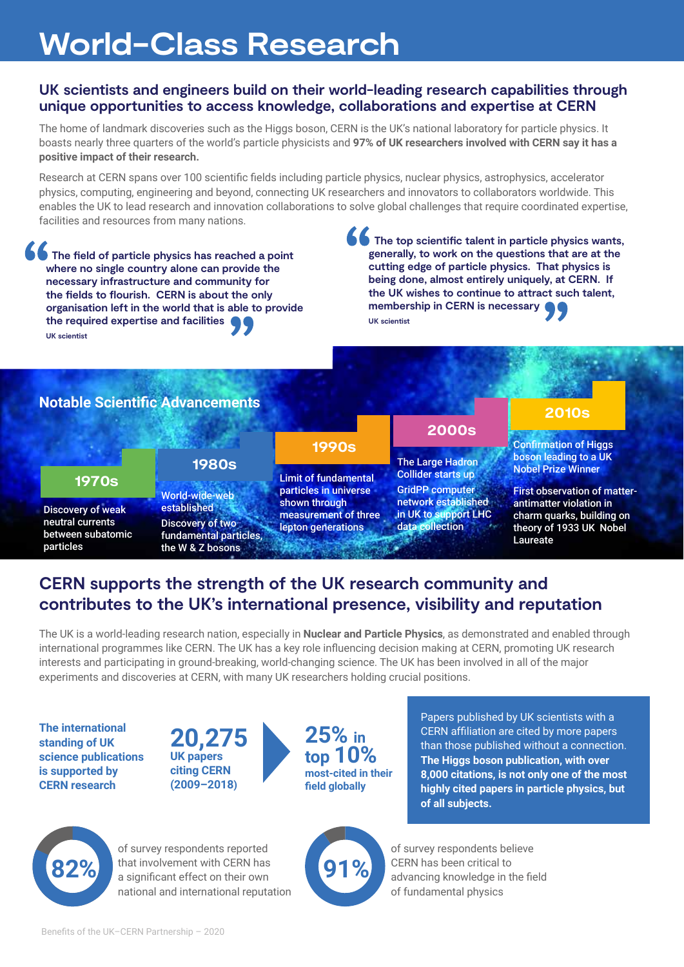# **World-Class Research**

#### **UK scientists and engineers build on their world-leading research capabilities through unique opportunities to access knowledge, collaborations and expertise at CERN**

The home of landmark discoveries such as the Higgs boson, CERN is the UK's national laboratory for particle physics. It boasts nearly three quarters of the world's particle physicists and **97% of UK researchers involved with CERN say it has a positive impact of their research.**

Research at CERN spans over 100 scientific fields including particle physics, nuclear physics, astrophysics, accelerator physics, computing, engineering and beyond, connecting UK researchers and innovators to collaborators worldwide. This enables the UK to lead research and innovation collaborations to solve global challenges that require coordinated expertise, facilities and resources from many nations.

**6 The field of particle physics has reached a point where no single country alone can provide the necessary infrastructure and community for the fields to flourish. CERN is about the only organisation left in the world that is able to provide the required expertise and facilities UK scientist**

 **The top scientific talent in particle physics wants, generally, to work on the questions that are at the cutting edge of particle physics. That physics is being done, almost entirely uniquely, at CERN. If the UK wishes to continue to attract such talent, membership in CERN is necessary UK scientist**

#### **Notable Scientific Advancements**

### **1970s**

Discovery of weak neutral currents between subatomic particles

#### World-wide-web established Discovery of two **1980s**

fundamental particles, the W & Z bosons

### **1990s**

Limit of fundamental particles in universe shown through measurement of three lepton generations

**2000s**

The Large Hadron Collider starts up GridPP computer network established in UK to support LHC data collection

#### **2010s**

Confirmation of Higgs boson leading to a UK Nobel Prize Winner

First observation of matterantimatter violation in charm quarks, building on theory of 1933 UK Nobel Laureate

## **CERN supports the strength of the UK research community and contributes to the UK's international presence, visibility and reputation**

The UK is a world-leading research nation, especially in **Nuclear and Particle Physics**, as demonstrated and enabled through international programmes like CERN. The UK has a key role influencing decision making at CERN, promoting UK research interests and participating in ground-breaking, world-changing science. The UK has been involved in all of the major experiments and discoveries at CERN, with many UK researchers holding crucial positions.

**The international standing of UK science publications is supported by CERN research**

**20,275 UK papers citing CERN (2009–2018)**



Papers published by UK scientists with a CERN affiliation are cited by more papers than those published without a connection. **The Higgs boson publication, with over 8,000 citations, is not only one of the most highly cited papers in particle physics, but of all subjects.**



of survey respondents reported that involvement with CERN has 82% **hat involvement with CERN has** a significant effect on their own **91%** national and international reputation

of survey respondents believe CERN has been critical to advancing knowledge in the field of fundamental physics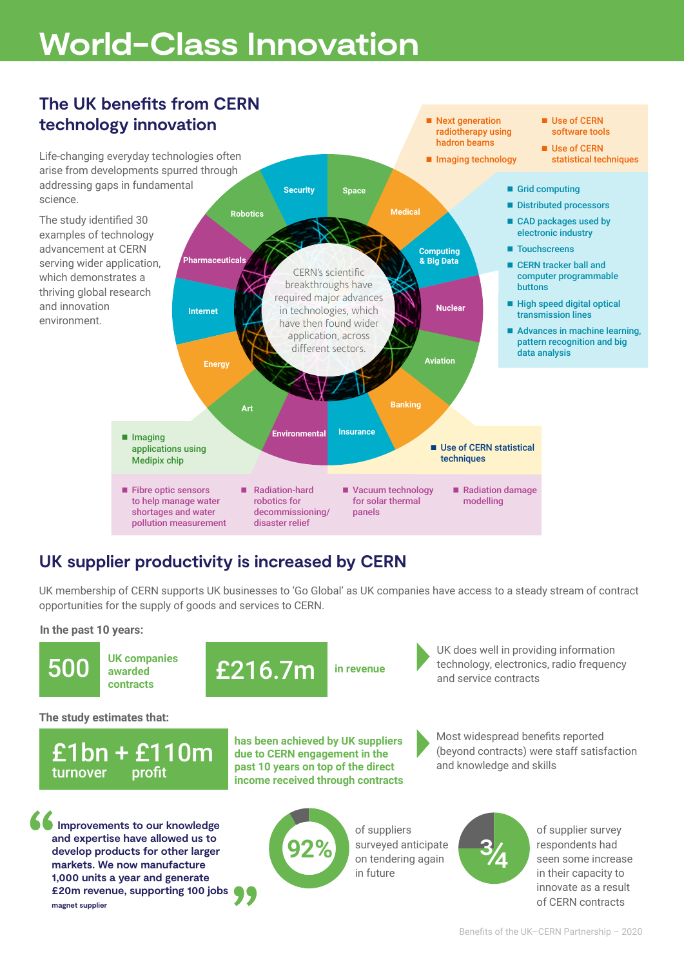# **World-Class Innovation**



## **UK supplier productivity is increased by CERN**

UK membership of CERN supports UK businesses to 'Go Global' as UK companies have access to a steady stream of contract opportunities for the supply of goods and services to CERN.

#### **In the past 10 years:**





**in revenue**

UK does well in providing information technology, electronics, radio frequency and service contracts

Most widespread benefits reported (beyond contracts) were staff satisfaction

**The study estimates that:**



**UK companies awarded contracts**

 **Improvements to our knowledge and expertise have allowed us to develop products for other larger markets. We now manufacture 1,000 units a year and generate £20m revenue, supporting 100 jobs magnet supplier**

**has been achieved by UK suppliers due to CERN engagement in the past 10 years on top of the direct income received through contracts**



of suppliers surveyed anticipate on tendering again in future



and knowledge and skills

of supplier survey respondents had seen some increase in their capacity to innovate as a result of CERN contracts